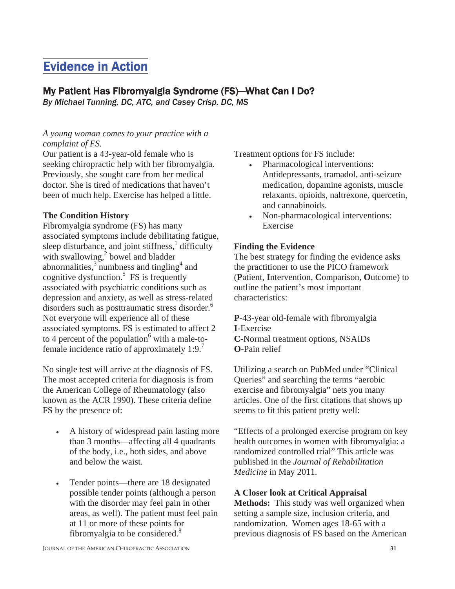# Evidence in Action

# My Patient Has Fibromyalgia Syndrome (FS)—What Can I Do?

*By Michael Tunning, DC, ATC, and Casey Crisp, DC, MS* 

#### *A young woman comes to your practice with a complaint of FS.*

Our patient is a 43-year-old female who is seeking chiropractic help with her fibromyalgia. Previously, she sought care from her medical doctor. She is tired of medications that haven't been of much help. Exercise has helped a little.

# **The Condition History**

Fibromyalgia syndrome (FS) has many associated symptoms include debilitating fatigue, sleep disturbance, and joint stiffness, $<sup>1</sup>$  difficulty</sup> with swallowing, $^{2}$  bowel and bladder abnormalities, $3 \text{ numbers}$  and tingling<sup>4</sup> and cognitive dysfunction.<sup>5</sup> FS is frequently associated with psychiatric conditions such as depression and anxiety, as well as stress-related disorders such as posttraumatic stress disorder.<sup>6</sup> Not everyone will experience all of these associated symptoms. FS is estimated to affect 2 to 4 percent of the population $6$  with a male-tofemale incidence ratio of approximately  $1:9$ .<sup>7</sup>

No single test will arrive at the diagnosis of FS. The most accepted criteria for diagnosis is from the American College of Rheumatology (also known as the ACR 1990). These criteria define FS by the presence of:

- A history of widespread pain lasting more than 3 months—affecting all 4 quadrants of the body, i.e., both sides, and above and below the waist.
- Tender points—there are 18 designated possible tender points (although a person with the disorder may feel pain in other areas, as well). The patient must feel pain at 11 or more of these points for fibromyalgia to be considered. $8$

Treatment options for FS include:

- Pharmacological interventions: Antidepressants, tramadol, anti-seizure medication, dopamine agonists, muscle relaxants, opioids, naltrexone, quercetin, and cannabinoids.
- Non-pharmacological interventions: Exercise

## **Finding the Evidence**

The best strategy for finding the evidence asks the practitioner to use the PICO framework (**P**atient, **I**ntervention, **C**omparison, **O**utcome) to outline the patient's most important characteristics:

**P**-43-year old-female with fibromyalgia **I**-Exercise **C**-Normal treatment options, NSAIDs **O**-Pain relief

Utilizing a search on PubMed under "Clinical Queries" and searching the terms "aerobic exercise and fibromyalgia" nets you many articles. One of the first citations that shows up seems to fit this patient pretty well:

"Effects of a prolonged exercise program on key health outcomes in women with fibromyalgia: a randomized controlled trial" This article was published in the *Journal of Rehabilitation Medicine* in May 2011.

#### **A Closer look at Critical Appraisal**

**Methods:** This study was well organized when setting a sample size, inclusion criteria, and randomization. Women ages 18-65 with a previous diagnosis of FS based on the American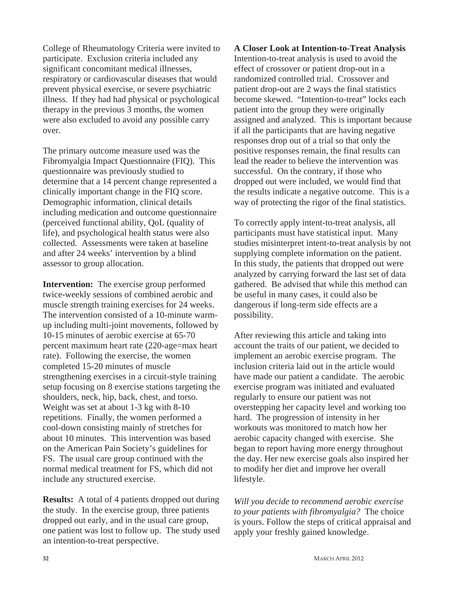College of Rheumatology Criteria were invited to participate. Exclusion criteria included any significant concomitant medical illnesses, respiratory or cardiovascular diseases that would prevent physical exercise, or severe psychiatric illness. If they had had physical or psychological therapy in the previous 3 months, the women were also excluded to avoid any possible carry over.

The primary outcome measure used was the Fibromyalgia Impact Questionnaire (FIQ). This questionnaire was previously studied to determine that a 14 percent change represented a clinically important change in the FIQ score. Demographic information, clinical details including medication and outcome questionnaire (perceived functional ability, QoL (quality of life), and psychological health status were also collected. Assessments were taken at baseline and after 24 weeks' intervention by a blind assessor to group allocation.

**Intervention:** The exercise group performed twice-weekly sessions of combined aerobic and muscle strength training exercises for 24 weeks. The intervention consisted of a 10-minute warmup including multi-joint movements, followed by 10-15 minutes of aerobic exercise at 65-70 percent maximum heart rate (220-age=max heart rate). Following the exercise, the women completed 15-20 minutes of muscle strengthening exercises in a circuit-style training setup focusing on 8 exercise stations targeting the shoulders, neck, hip, back, chest, and torso. Weight was set at about 1-3 kg with 8-10 repetitions. Finally, the women performed a cool-down consisting mainly of stretches for about 10 minutes. This intervention was based on the American Pain Society's guidelines for FS. The usual care group continued with the normal medical treatment for FS, which did not include any structured exercise.

**Results:** A total of 4 patients dropped out during the study. In the exercise group, three patients dropped out early, and in the usual care group, one patient was lost to follow up. The study used an intention-to-treat perspective.

## **A Closer Look at Intention-to-Treat Analysis**  Intention-to-treat analysis is used to avoid the effect of crossover or patient drop-out in a randomized controlled trial. Crossover and patient drop-out are 2 ways the final statistics become skewed. "Intention-to-treat" locks each patient into the group they were originally assigned and analyzed. This is important because if all the participants that are having negative responses drop out of a trial so that only the positive responses remain, the final results can lead the reader to believe the intervention was successful. On the contrary, if those who dropped out were included, we would find that the results indicate a negative outcome. This is a way of protecting the rigor of the final statistics.

To correctly apply intent-to-treat analysis, all participants must have statistical input. Many studies misinterpret intent-to-treat analysis by not supplying complete information on the patient. In this study, the patients that dropped out were analyzed by carrying forward the last set of data gathered. Be advised that while this method can be useful in many cases, it could also be dangerous if long-term side effects are a possibility.

After reviewing this article and taking into account the traits of our patient, we decided to implement an aerobic exercise program. The inclusion criteria laid out in the article would have made our patient a candidate. The aerobic exercise program was initiated and evaluated regularly to ensure our patient was not overstepping her capacity level and working too hard. The progression of intensity in her workouts was monitored to match how her aerobic capacity changed with exercise. She began to report having more energy throughout the day. Her new exercise goals also inspired her to modify her diet and improve her overall lifestyle.

*Will you decide to recommend aerobic exercise to your patients with fibromyalgia?* The choice is yours. Follow the steps of critical appraisal and apply your freshly gained knowledge.